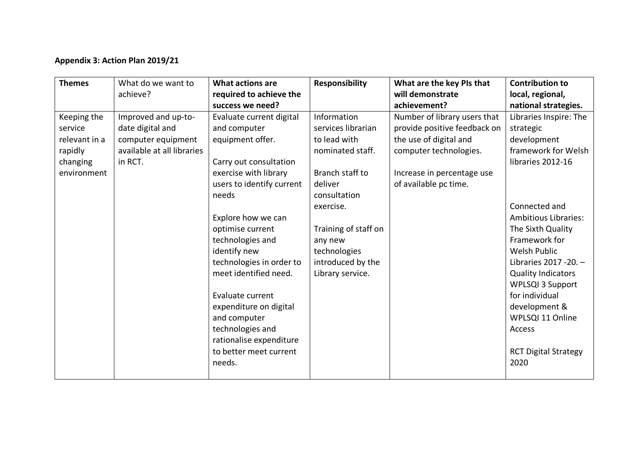## **Appendix 3: Action Plan 2019/21**

| <b>Themes</b>                                                                 | What do we want to<br>achieve?                                                                         | What actions are<br>required to achieve the<br>success we need?                                                                                                                                                                                                                                                                                                                                                                           | <b>Responsibility</b>                                                                                                                                                                                                        | What are the key PIs that<br>will demonstrate<br>achievement?                                                                                                           | <b>Contribution to</b><br>local, regional,<br>national strategies.                                                                                                                                                                                                                                                                                                                             |
|-------------------------------------------------------------------------------|--------------------------------------------------------------------------------------------------------|-------------------------------------------------------------------------------------------------------------------------------------------------------------------------------------------------------------------------------------------------------------------------------------------------------------------------------------------------------------------------------------------------------------------------------------------|------------------------------------------------------------------------------------------------------------------------------------------------------------------------------------------------------------------------------|-------------------------------------------------------------------------------------------------------------------------------------------------------------------------|------------------------------------------------------------------------------------------------------------------------------------------------------------------------------------------------------------------------------------------------------------------------------------------------------------------------------------------------------------------------------------------------|
| Keeping the<br>service<br>relevant in a<br>rapidly<br>changing<br>environment | Improved and up-to-<br>date digital and<br>computer equipment<br>available at all libraries<br>in RCT. | Evaluate current digital<br>and computer<br>equipment offer.<br>Carry out consultation<br>exercise with library<br>users to identify current<br>needs<br>Explore how we can<br>optimise current<br>technologies and<br>identify new<br>technologies in order to<br>meet identified need.<br>Evaluate current<br>expenditure on digital<br>and computer<br>technologies and<br>rationalise expenditure<br>to better meet current<br>needs. | Information<br>services librarian<br>to lead with<br>nominated staff.<br>Branch staff to<br>deliver<br>consultation<br>exercise.<br>Training of staff on<br>any new<br>technologies<br>introduced by the<br>Library service. | Number of library users that<br>provide positive feedback on<br>the use of digital and<br>computer technologies.<br>Increase in percentage use<br>of available pc time. | Libraries Inspire: The<br>strategic<br>development<br>framework for Welsh<br>libraries 2012-16<br>Connected and<br><b>Ambitious Libraries:</b><br>The Sixth Quality<br>Framework for<br>Welsh Public<br>Libraries 2017 - 20. -<br><b>Quality Indicators</b><br><b>WPLSQI 3 Support</b><br>for individual<br>development &<br>WPLSQI 11 Online<br>Access<br><b>RCT Digital Strategy</b><br>2020 |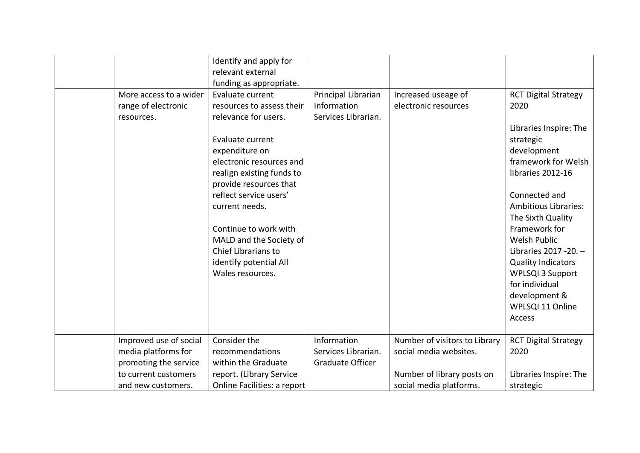|                        | Identify and apply for      |                         |                               |                             |
|------------------------|-----------------------------|-------------------------|-------------------------------|-----------------------------|
|                        | relevant external           |                         |                               |                             |
|                        | funding as appropriate.     |                         |                               |                             |
| More access to a wider | Evaluate current            | Principal Librarian     | Increased useage of           | <b>RCT Digital Strategy</b> |
| range of electronic    | resources to assess their   | Information             | electronic resources          | 2020                        |
| resources.             | relevance for users.        | Services Librarian.     |                               |                             |
|                        |                             |                         |                               | Libraries Inspire: The      |
|                        | Evaluate current            |                         |                               | strategic                   |
|                        | expenditure on              |                         |                               | development                 |
|                        | electronic resources and    |                         |                               | framework for Welsh         |
|                        | realign existing funds to   |                         |                               | libraries 2012-16           |
|                        | provide resources that      |                         |                               |                             |
|                        | reflect service users'      |                         |                               | Connected and               |
|                        | current needs.              |                         |                               | <b>Ambitious Libraries:</b> |
|                        |                             |                         |                               | The Sixth Quality           |
|                        | Continue to work with       |                         |                               | Framework for               |
|                        | MALD and the Society of     |                         |                               | <b>Welsh Public</b>         |
|                        | Chief Librarians to         |                         |                               | Libraries 2017 - 20. -      |
|                        | identify potential All      |                         |                               | <b>Quality Indicators</b>   |
|                        | Wales resources.            |                         |                               | <b>WPLSQI 3 Support</b>     |
|                        |                             |                         |                               | for individual              |
|                        |                             |                         |                               | development &               |
|                        |                             |                         |                               | WPLSQI 11 Online            |
|                        |                             |                         |                               | Access                      |
|                        |                             |                         |                               |                             |
| Improved use of social | Consider the                | Information             | Number of visitors to Library | <b>RCT Digital Strategy</b> |
| media platforms for    | recommendations             | Services Librarian.     | social media websites.        | 2020                        |
| promoting the service  | within the Graduate         | <b>Graduate Officer</b> |                               |                             |
| to current customers   | report. (Library Service    |                         | Number of library posts on    | Libraries Inspire: The      |
| and new customers.     | Online Facilities: a report |                         | social media platforms.       | strategic                   |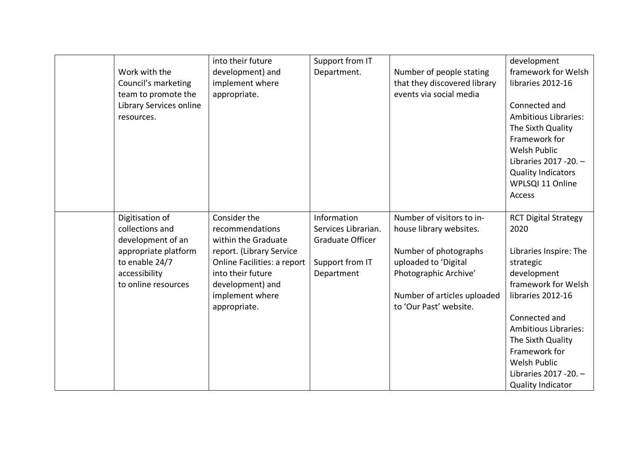| Work with the<br>Council's marketing<br>team to promote the<br>Library Services online<br>resources. | into their future<br>development) and<br>implement where<br>appropriate. | Support from IT<br>Department.                                | Number of people stating<br>that they discovered library<br>events via social media | development<br>framework for Welsh<br>libraries 2012-16<br>Connected and<br><b>Ambitious Libraries:</b><br>The Sixth Quality<br>Framework for<br>Welsh Public<br>Libraries 2017 - 20. - |
|------------------------------------------------------------------------------------------------------|--------------------------------------------------------------------------|---------------------------------------------------------------|-------------------------------------------------------------------------------------|-----------------------------------------------------------------------------------------------------------------------------------------------------------------------------------------|
|                                                                                                      |                                                                          |                                                               |                                                                                     | <b>Quality Indicators</b><br>WPLSQI 11 Online<br>Access                                                                                                                                 |
| Digitisation of<br>collections and<br>development of an                                              | Consider the<br>recommendations<br>within the Graduate                   | Information<br>Services Librarian.<br><b>Graduate Officer</b> | Number of visitors to in-<br>house library websites.                                | <b>RCT Digital Strategy</b><br>2020                                                                                                                                                     |
| appropriate platform                                                                                 | report. (Library Service                                                 |                                                               | Number of photographs                                                               | Libraries Inspire: The                                                                                                                                                                  |
| to enable 24/7<br>accessibility                                                                      | Online Facilities: a report<br>into their future                         | Support from IT<br>Department                                 | uploaded to 'Digital<br>Photographic Archive'                                       | strategic<br>development                                                                                                                                                                |
| to online resources                                                                                  | development) and                                                         |                                                               |                                                                                     | framework for Welsh                                                                                                                                                                     |
|                                                                                                      | implement where<br>appropriate.                                          |                                                               | Number of articles uploaded<br>to 'Our Past' website.                               | libraries 2012-16                                                                                                                                                                       |
|                                                                                                      |                                                                          |                                                               |                                                                                     | Connected and                                                                                                                                                                           |
|                                                                                                      |                                                                          |                                                               |                                                                                     | <b>Ambitious Libraries:</b>                                                                                                                                                             |
|                                                                                                      |                                                                          |                                                               |                                                                                     | The Sixth Quality                                                                                                                                                                       |
|                                                                                                      |                                                                          |                                                               |                                                                                     | Framework for                                                                                                                                                                           |
|                                                                                                      |                                                                          |                                                               |                                                                                     | Welsh Public                                                                                                                                                                            |
|                                                                                                      |                                                                          |                                                               |                                                                                     | Libraries 2017 - 20. -                                                                                                                                                                  |
|                                                                                                      |                                                                          |                                                               |                                                                                     | <b>Quality Indicator</b>                                                                                                                                                                |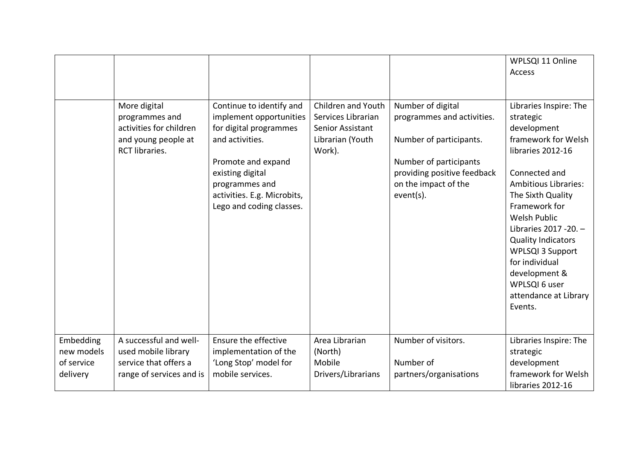|                                                   |                                                                                                           |                                                                                                                                                                                                                         |                                                                                            |                                                                                                                                                                          | WPLSQI 11 Online<br>Access                                                                                                                                                                                                                                                                                                                                                            |
|---------------------------------------------------|-----------------------------------------------------------------------------------------------------------|-------------------------------------------------------------------------------------------------------------------------------------------------------------------------------------------------------------------------|--------------------------------------------------------------------------------------------|--------------------------------------------------------------------------------------------------------------------------------------------------------------------------|---------------------------------------------------------------------------------------------------------------------------------------------------------------------------------------------------------------------------------------------------------------------------------------------------------------------------------------------------------------------------------------|
|                                                   | More digital<br>programmes and<br>activities for children<br>and young people at<br><b>RCT libraries.</b> | Continue to identify and<br>implement opportunities<br>for digital programmes<br>and activities.<br>Promote and expand<br>existing digital<br>programmes and<br>activities. E.g. Microbits,<br>Lego and coding classes. | Children and Youth<br>Services Librarian<br>Senior Assistant<br>Librarian (Youth<br>Work). | Number of digital<br>programmes and activities.<br>Number of participants.<br>Number of participants<br>providing positive feedback<br>on the impact of the<br>event(s). | Libraries Inspire: The<br>strategic<br>development<br>framework for Welsh<br>libraries 2012-16<br>Connected and<br><b>Ambitious Libraries:</b><br>The Sixth Quality<br>Framework for<br><b>Welsh Public</b><br>Libraries 2017 - 20. -<br><b>Quality Indicators</b><br><b>WPLSQI 3 Support</b><br>for individual<br>development &<br>WPLSQI 6 user<br>attendance at Library<br>Events. |
| Embedding<br>new models<br>of service<br>delivery | A successful and well-<br>used mobile library<br>service that offers a<br>range of services and is        | Ensure the effective<br>implementation of the<br>'Long Stop' model for<br>mobile services.                                                                                                                              | Area Librarian<br>(North)<br>Mobile<br>Drivers/Librarians                                  | Number of visitors.<br>Number of<br>partners/organisations                                                                                                               | Libraries Inspire: The<br>strategic<br>development<br>framework for Welsh<br>libraries 2012-16                                                                                                                                                                                                                                                                                        |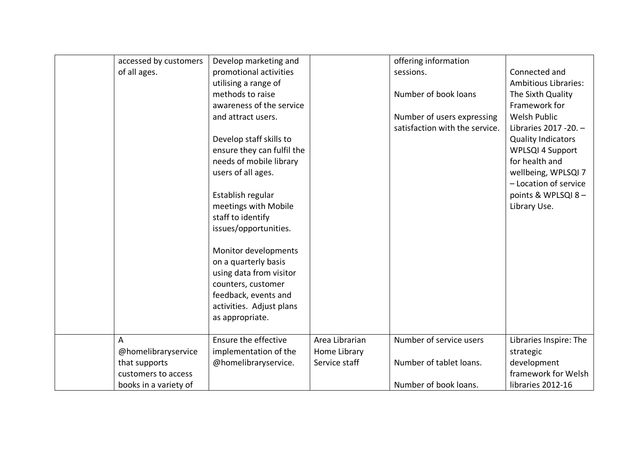| accessed by customers | Develop marketing and      |                | offering information           |                             |
|-----------------------|----------------------------|----------------|--------------------------------|-----------------------------|
| of all ages.          | promotional activities     |                | sessions.                      | Connected and               |
|                       | utilising a range of       |                |                                | <b>Ambitious Libraries:</b> |
|                       | methods to raise           |                | Number of book loans           | The Sixth Quality           |
|                       | awareness of the service   |                |                                | Framework for               |
|                       | and attract users.         |                | Number of users expressing     | <b>Welsh Public</b>         |
|                       |                            |                | satisfaction with the service. | Libraries 2017 - 20. -      |
|                       | Develop staff skills to    |                |                                | <b>Quality Indicators</b>   |
|                       | ensure they can fulfil the |                |                                | <b>WPLSQI 4 Support</b>     |
|                       | needs of mobile library    |                |                                | for health and              |
|                       | users of all ages.         |                |                                | wellbeing, WPLSQI 7         |
|                       |                            |                |                                | - Location of service       |
|                       | Establish regular          |                |                                | points & WPLSQI 8-          |
|                       | meetings with Mobile       |                |                                | Library Use.                |
|                       | staff to identify          |                |                                |                             |
|                       | issues/opportunities.      |                |                                |                             |
|                       |                            |                |                                |                             |
|                       | Monitor developments       |                |                                |                             |
|                       | on a quarterly basis       |                |                                |                             |
|                       | using data from visitor    |                |                                |                             |
|                       | counters, customer         |                |                                |                             |
|                       | feedback, events and       |                |                                |                             |
|                       | activities. Adjust plans   |                |                                |                             |
|                       | as appropriate.            |                |                                |                             |
|                       |                            |                |                                |                             |
| A                     | Ensure the effective       | Area Librarian | Number of service users        | Libraries Inspire: The      |
| @homelibraryservice   | implementation of the      | Home Library   |                                | strategic                   |
| that supports         | @homelibraryservice.       | Service staff  | Number of tablet loans.        | development                 |
| customers to access   |                            |                |                                | framework for Welsh         |
| books in a variety of |                            |                | Number of book loans.          | libraries 2012-16           |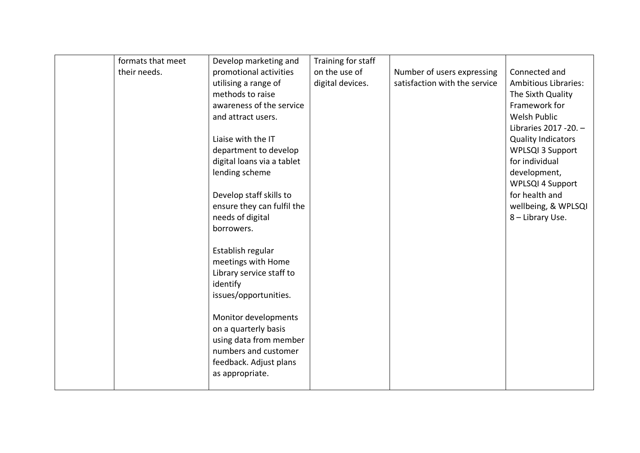| formats that meet<br>their needs. | Develop marketing and<br>promotional activities | Training for staff<br>on the use of | Number of users expressing    | Connected and               |
|-----------------------------------|-------------------------------------------------|-------------------------------------|-------------------------------|-----------------------------|
|                                   | utilising a range of                            | digital devices.                    | satisfaction with the service | <b>Ambitious Libraries:</b> |
|                                   | methods to raise                                |                                     |                               | The Sixth Quality           |
|                                   | awareness of the service                        |                                     |                               | Framework for               |
|                                   | and attract users.                              |                                     |                               | Welsh Public                |
|                                   |                                                 |                                     |                               | Libraries 2017 - 20. -      |
|                                   | Liaise with the IT                              |                                     |                               | <b>Quality Indicators</b>   |
|                                   | department to develop                           |                                     |                               | <b>WPLSQI 3 Support</b>     |
|                                   | digital loans via a tablet                      |                                     |                               | for individual              |
|                                   | lending scheme                                  |                                     |                               | development,                |
|                                   |                                                 |                                     |                               | <b>WPLSQI 4 Support</b>     |
|                                   | Develop staff skills to                         |                                     |                               | for health and              |
|                                   | ensure they can fulfil the                      |                                     |                               | wellbeing, & WPLSQI         |
|                                   | needs of digital                                |                                     |                               | 8 - Library Use.            |
|                                   | borrowers.                                      |                                     |                               |                             |
|                                   | Establish regular                               |                                     |                               |                             |
|                                   | meetings with Home                              |                                     |                               |                             |
|                                   | Library service staff to                        |                                     |                               |                             |
|                                   | identify                                        |                                     |                               |                             |
|                                   | issues/opportunities.                           |                                     |                               |                             |
|                                   |                                                 |                                     |                               |                             |
|                                   | Monitor developments                            |                                     |                               |                             |
|                                   | on a quarterly basis                            |                                     |                               |                             |
|                                   | using data from member                          |                                     |                               |                             |
|                                   | numbers and customer                            |                                     |                               |                             |
|                                   | feedback. Adjust plans                          |                                     |                               |                             |
|                                   | as appropriate.                                 |                                     |                               |                             |
|                                   |                                                 |                                     |                               |                             |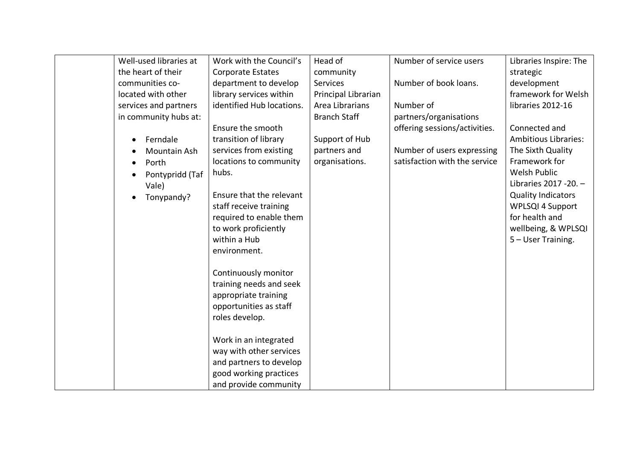| Well-used libraries at | Work with the Council's   | Head of             | Number of service users       | Libraries Inspire: The      |
|------------------------|---------------------------|---------------------|-------------------------------|-----------------------------|
| the heart of their     | Corporate Estates         | community           |                               | strategic                   |
| communities co-        | department to develop     | <b>Services</b>     | Number of book loans.         | development                 |
| located with other     | library services within   | Principal Librarian |                               | framework for Welsh         |
| services and partners  | identified Hub locations. | Area Librarians     | Number of                     | libraries 2012-16           |
| in community hubs at:  |                           | <b>Branch Staff</b> | partners/organisations        |                             |
|                        | Ensure the smooth         |                     | offering sessions/activities. | Connected and               |
| Ferndale               | transition of library     | Support of Hub      |                               | <b>Ambitious Libraries:</b> |
| Mountain Ash           | services from existing    | partners and        | Number of users expressing    | The Sixth Quality           |
| Porth                  | locations to community    | organisations.      | satisfaction with the service | Framework for               |
| Pontypridd (Taf        | hubs.                     |                     |                               | <b>Welsh Public</b>         |
| Vale)                  |                           |                     |                               | Libraries 2017 - 20. -      |
| Tonypandy?             | Ensure that the relevant  |                     |                               | <b>Quality Indicators</b>   |
|                        | staff receive training    |                     |                               | <b>WPLSQI 4 Support</b>     |
|                        | required to enable them   |                     |                               | for health and              |
|                        | to work proficiently      |                     |                               | wellbeing, & WPLSQI         |
|                        | within a Hub              |                     |                               | 5 - User Training.          |
|                        | environment.              |                     |                               |                             |
|                        |                           |                     |                               |                             |
|                        | Continuously monitor      |                     |                               |                             |
|                        | training needs and seek   |                     |                               |                             |
|                        | appropriate training      |                     |                               |                             |
|                        | opportunities as staff    |                     |                               |                             |
|                        | roles develop.            |                     |                               |                             |
|                        |                           |                     |                               |                             |
|                        | Work in an integrated     |                     |                               |                             |
|                        | way with other services   |                     |                               |                             |
|                        | and partners to develop   |                     |                               |                             |
|                        | good working practices    |                     |                               |                             |
|                        | and provide community     |                     |                               |                             |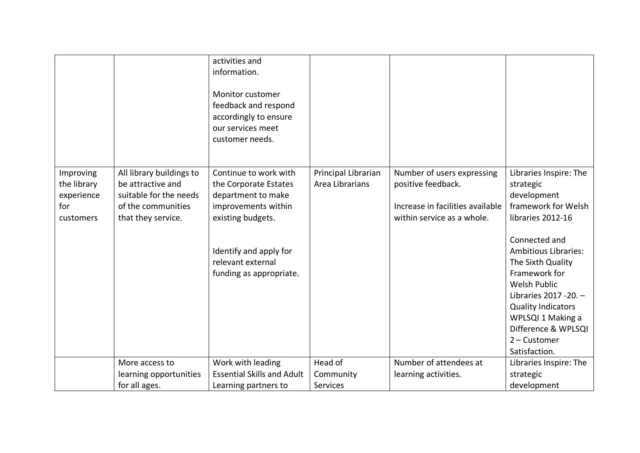|                                                            |                                                                                                                     | activities and<br>information.<br>Monitor customer<br>feedback and respond<br>accordingly to ensure<br>our services meet<br>customer needs. |                                        |                                                                                                                    |                                                                                                                                                                                                                                          |
|------------------------------------------------------------|---------------------------------------------------------------------------------------------------------------------|---------------------------------------------------------------------------------------------------------------------------------------------|----------------------------------------|--------------------------------------------------------------------------------------------------------------------|------------------------------------------------------------------------------------------------------------------------------------------------------------------------------------------------------------------------------------------|
| Improving<br>the library<br>experience<br>for<br>customers | All library buildings to<br>be attractive and<br>suitable for the needs<br>of the communities<br>that they service. | Continue to work with<br>the Corporate Estates<br>department to make<br>improvements within<br>existing budgets.                            | Principal Librarian<br>Area Librarians | Number of users expressing<br>positive feedback.<br>Increase in facilities available<br>within service as a whole. | Libraries Inspire: The<br>strategic<br>development<br>framework for Welsh<br>libraries 2012-16                                                                                                                                           |
|                                                            |                                                                                                                     | Identify and apply for<br>relevant external<br>funding as appropriate.                                                                      |                                        |                                                                                                                    | Connected and<br><b>Ambitious Libraries:</b><br>The Sixth Quality<br>Framework for<br>Welsh Public<br>Libraries 2017 - 20. -<br><b>Quality Indicators</b><br>WPLSQI 1 Making a<br>Difference & WPLSQI<br>$2$ – Customer<br>Satisfaction. |
|                                                            | More access to                                                                                                      | Work with leading                                                                                                                           | Head of                                | Number of attendees at                                                                                             | Libraries Inspire: The                                                                                                                                                                                                                   |
|                                                            | learning opportunities                                                                                              | <b>Essential Skills and Adult</b>                                                                                                           | Community                              | learning activities.                                                                                               | strategic                                                                                                                                                                                                                                |
|                                                            | for all ages.                                                                                                       | Learning partners to                                                                                                                        | Services                               |                                                                                                                    | development                                                                                                                                                                                                                              |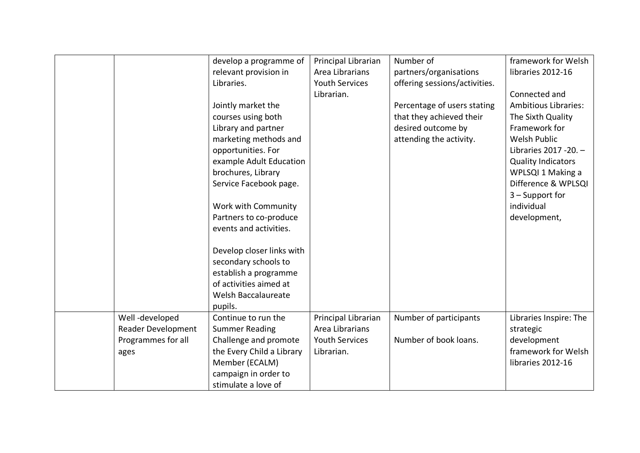|                    | develop a programme of    | Principal Librarian   | Number of                     | framework for Welsh         |
|--------------------|---------------------------|-----------------------|-------------------------------|-----------------------------|
|                    | relevant provision in     | Area Librarians       | partners/organisations        | libraries 2012-16           |
|                    | Libraries.                | <b>Youth Services</b> | offering sessions/activities. |                             |
|                    |                           | Librarian.            |                               | Connected and               |
|                    |                           |                       |                               | <b>Ambitious Libraries:</b> |
|                    | Jointly market the        |                       | Percentage of users stating   |                             |
|                    | courses using both        |                       | that they achieved their      | The Sixth Quality           |
|                    | Library and partner       |                       | desired outcome by            | Framework for               |
|                    | marketing methods and     |                       | attending the activity.       | Welsh Public                |
|                    | opportunities. For        |                       |                               | Libraries 2017 - 20. -      |
|                    | example Adult Education   |                       |                               | <b>Quality Indicators</b>   |
|                    | brochures, Library        |                       |                               | WPLSQI 1 Making a           |
|                    | Service Facebook page.    |                       |                               | Difference & WPLSQI         |
|                    |                           |                       |                               | $3 -$ Support for           |
|                    | Work with Community       |                       |                               | individual                  |
|                    | Partners to co-produce    |                       |                               | development,                |
|                    | events and activities.    |                       |                               |                             |
|                    |                           |                       |                               |                             |
|                    | Develop closer links with |                       |                               |                             |
|                    | secondary schools to      |                       |                               |                             |
|                    | establish a programme     |                       |                               |                             |
|                    | of activities aimed at    |                       |                               |                             |
|                    | Welsh Baccalaureate       |                       |                               |                             |
|                    | pupils.                   |                       |                               |                             |
| Well-developed     | Continue to run the       | Principal Librarian   | Number of participants        | Libraries Inspire: The      |
| Reader Development | <b>Summer Reading</b>     | Area Librarians       |                               | strategic                   |
| Programmes for all | Challenge and promote     | <b>Youth Services</b> | Number of book loans.         | development                 |
|                    |                           | Librarian.            |                               | framework for Welsh         |
| ages               | the Every Child a Library |                       |                               |                             |
|                    | Member (ECALM)            |                       |                               | libraries 2012-16           |
|                    | campaign in order to      |                       |                               |                             |
|                    | stimulate a love of       |                       |                               |                             |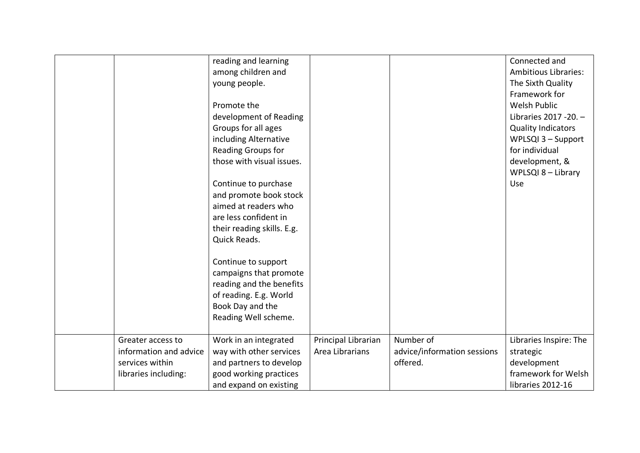|                        | reading and learning       |                     |                             | Connected and               |
|------------------------|----------------------------|---------------------|-----------------------------|-----------------------------|
|                        | among children and         |                     |                             | <b>Ambitious Libraries:</b> |
|                        | young people.              |                     |                             | The Sixth Quality           |
|                        |                            |                     |                             | Framework for               |
|                        | Promote the                |                     |                             | <b>Welsh Public</b>         |
|                        | development of Reading     |                     |                             | Libraries 2017 - 20. -      |
|                        | Groups for all ages        |                     |                             | <b>Quality Indicators</b>   |
|                        | including Alternative      |                     |                             | WPLSQI 3 - Support          |
|                        | Reading Groups for         |                     |                             | for individual              |
|                        | those with visual issues.  |                     |                             | development, &              |
|                        |                            |                     |                             | WPLSQI 8 - Library          |
|                        | Continue to purchase       |                     |                             | Use                         |
|                        | and promote book stock     |                     |                             |                             |
|                        | aimed at readers who       |                     |                             |                             |
|                        | are less confident in      |                     |                             |                             |
|                        | their reading skills. E.g. |                     |                             |                             |
|                        | Quick Reads.               |                     |                             |                             |
|                        |                            |                     |                             |                             |
|                        | Continue to support        |                     |                             |                             |
|                        | campaigns that promote     |                     |                             |                             |
|                        | reading and the benefits   |                     |                             |                             |
|                        | of reading. E.g. World     |                     |                             |                             |
|                        | Book Day and the           |                     |                             |                             |
|                        | Reading Well scheme.       |                     |                             |                             |
|                        |                            |                     |                             |                             |
| Greater access to      | Work in an integrated      | Principal Librarian | Number of                   | Libraries Inspire: The      |
| information and advice | way with other services    | Area Librarians     | advice/information sessions | strategic                   |
| services within        | and partners to develop    |                     | offered.                    | development                 |
| libraries including:   | good working practices     |                     |                             | framework for Welsh         |
|                        | and expand on existing     |                     |                             | libraries 2012-16           |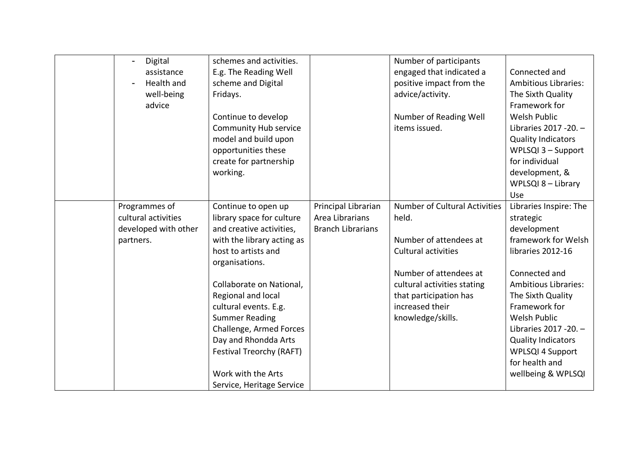| Digital<br>$\blacksquare$<br>assistance<br>Health and<br>well-being<br>advice | schemes and activities.<br>E.g. The Reading Well<br>scheme and Digital<br>Fridays.<br>Continue to develop<br><b>Community Hub service</b><br>model and build upon<br>opportunities these<br>create for partnership<br>working.                                                                                                                                                            |                                                                    | Number of participants<br>engaged that indicated a<br>positive impact from the<br>advice/activity.<br>Number of Reading Well<br>items issued.                                                                                    | Connected and<br><b>Ambitious Libraries:</b><br>The Sixth Quality<br>Framework for<br><b>Welsh Public</b><br>Libraries 2017 - 20. -<br><b>Quality Indicators</b><br>WPLSQI 3 - Support<br>for individual<br>development, &<br>WPLSQI 8 - Library<br>Use                                                                        |
|-------------------------------------------------------------------------------|-------------------------------------------------------------------------------------------------------------------------------------------------------------------------------------------------------------------------------------------------------------------------------------------------------------------------------------------------------------------------------------------|--------------------------------------------------------------------|----------------------------------------------------------------------------------------------------------------------------------------------------------------------------------------------------------------------------------|--------------------------------------------------------------------------------------------------------------------------------------------------------------------------------------------------------------------------------------------------------------------------------------------------------------------------------|
| Programmes of<br>cultural activities<br>developed with other<br>partners.     | Continue to open up<br>library space for culture<br>and creative activities,<br>with the library acting as<br>host to artists and<br>organisations.<br>Collaborate on National,<br>Regional and local<br>cultural events. E.g.<br><b>Summer Reading</b><br>Challenge, Armed Forces<br>Day and Rhondda Arts<br>Festival Treorchy (RAFT)<br>Work with the Arts<br>Service, Heritage Service | Principal Librarian<br>Area Librarians<br><b>Branch Librarians</b> | <b>Number of Cultural Activities</b><br>held.<br>Number of attendees at<br><b>Cultural activities</b><br>Number of attendees at<br>cultural activities stating<br>that participation has<br>increased their<br>knowledge/skills. | Libraries Inspire: The<br>strategic<br>development<br>framework for Welsh<br>libraries 2012-16<br>Connected and<br><b>Ambitious Libraries:</b><br>The Sixth Quality<br>Framework for<br>Welsh Public<br>Libraries 2017 - 20. -<br><b>Quality Indicators</b><br><b>WPLSQI 4 Support</b><br>for health and<br>wellbeing & WPLSQI |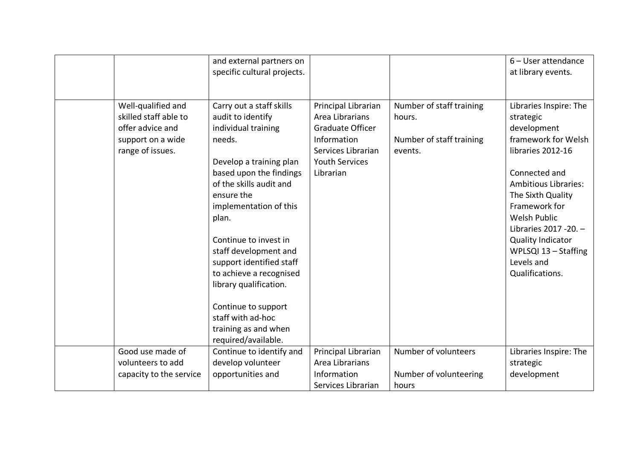|                                                                                                          | and external partners on<br>specific cultural projects.                                                                                                                                                                                                                                                                                                                                         |                                                                                                                                       |                                                                           | 6 - User attendance<br>at library events.                                                                                                                                                                                                                                                                                  |
|----------------------------------------------------------------------------------------------------------|-------------------------------------------------------------------------------------------------------------------------------------------------------------------------------------------------------------------------------------------------------------------------------------------------------------------------------------------------------------------------------------------------|---------------------------------------------------------------------------------------------------------------------------------------|---------------------------------------------------------------------------|----------------------------------------------------------------------------------------------------------------------------------------------------------------------------------------------------------------------------------------------------------------------------------------------------------------------------|
| Well-qualified and<br>skilled staff able to<br>offer advice and<br>support on a wide<br>range of issues. | Carry out a staff skills<br>audit to identify<br>individual training<br>needs.<br>Develop a training plan<br>based upon the findings<br>of the skills audit and<br>ensure the<br>implementation of this<br>plan.<br>Continue to invest in<br>staff development and<br>support identified staff<br>to achieve a recognised<br>library qualification.<br>Continue to support<br>staff with ad-hoc | Principal Librarian<br>Area Librarians<br>Graduate Officer<br>Information<br>Services Librarian<br><b>Youth Services</b><br>Librarian | Number of staff training<br>hours.<br>Number of staff training<br>events. | Libraries Inspire: The<br>strategic<br>development<br>framework for Welsh<br>libraries 2012-16<br>Connected and<br><b>Ambitious Libraries:</b><br>The Sixth Quality<br>Framework for<br><b>Welsh Public</b><br>Libraries 2017 - 20. -<br><b>Quality Indicator</b><br>WPLSQI 13 - Staffing<br>Levels and<br>Qualifications. |
|                                                                                                          | training as and when<br>required/available.                                                                                                                                                                                                                                                                                                                                                     |                                                                                                                                       |                                                                           |                                                                                                                                                                                                                                                                                                                            |
| Good use made of<br>volunteers to add<br>capacity to the service                                         | Continue to identify and<br>develop volunteer<br>opportunities and                                                                                                                                                                                                                                                                                                                              | Principal Librarian<br>Area Librarians<br>Information<br>Services Librarian                                                           | Number of volunteers<br>Number of volunteering<br>hours                   | Libraries Inspire: The<br>strategic<br>development                                                                                                                                                                                                                                                                         |